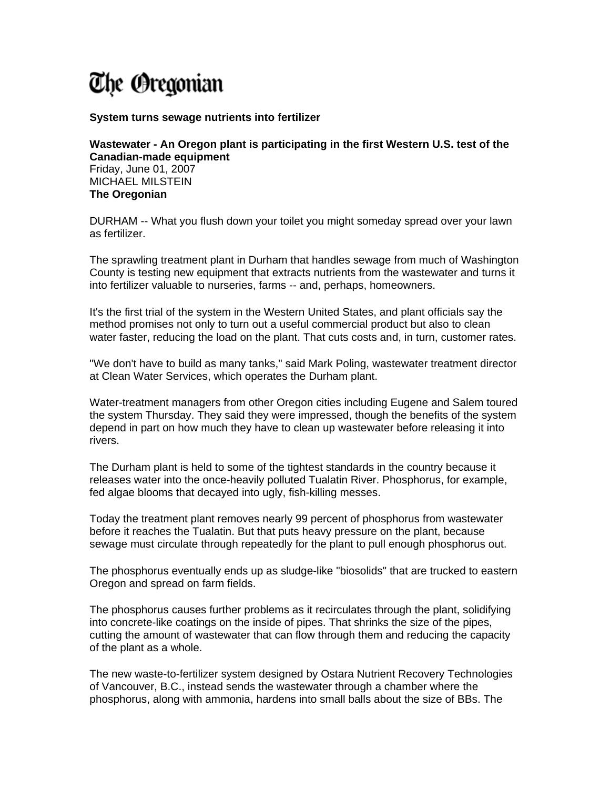## The Oregonian

## **System turns sewage nutrients into fertilizer**

## **Wastewater - An Oregon plant is participating in the first Western U.S. test of the Canadian-made equipment**

Friday, June 01, 2007 MICHAEL MILSTEIN **The Oregonian**

DURHAM -- What you flush down your toilet you might someday spread over your lawn as fertilizer.

The sprawling treatment plant in Durham that handles sewage from much of Washington County is testing new equipment that extracts nutrients from the wastewater and turns it into fertilizer valuable to nurseries, farms -- and, perhaps, homeowners.

It's the first trial of the system in the Western United States, and plant officials say the method promises not only to turn out a useful commercial product but also to clean water faster, reducing the load on the plant. That cuts costs and, in turn, customer rates.

"We don't have to build as many tanks," said Mark Poling, wastewater treatment director at Clean Water Services, which operates the Durham plant.

Water-treatment managers from other Oregon cities including Eugene and Salem toured the system Thursday. They said they were impressed, though the benefits of the system depend in part on how much they have to clean up wastewater before releasing it into rivers.

The Durham plant is held to some of the tightest standards in the country because it releases water into the once-heavily polluted Tualatin River. Phosphorus, for example, fed algae blooms that decayed into ugly, fish-killing messes.

Today the treatment plant removes nearly 99 percent of phosphorus from wastewater before it reaches the Tualatin. But that puts heavy pressure on the plant, because sewage must circulate through repeatedly for the plant to pull enough phosphorus out.

The phosphorus eventually ends up as sludge-like "biosolids" that are trucked to eastern Oregon and spread on farm fields.

The phosphorus causes further problems as it recirculates through the plant, solidifying into concrete-like coatings on the inside of pipes. That shrinks the size of the pipes, cutting the amount of wastewater that can flow through them and reducing the capacity of the plant as a whole.

The new waste-to-fertilizer system designed by Ostara Nutrient Recovery Technologies of Vancouver, B.C., instead sends the wastewater through a chamber where the phosphorus, along with ammonia, hardens into small balls about the size of BBs. The